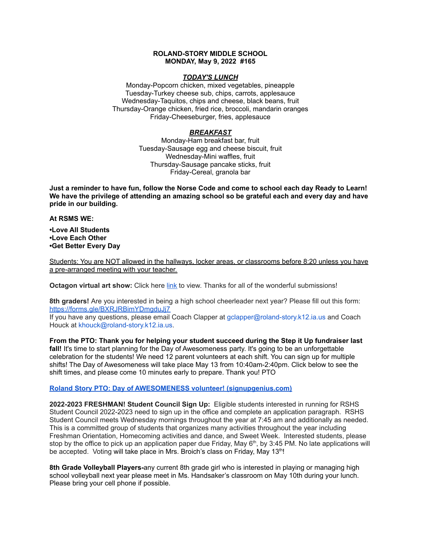#### **ROLAND-STORY MIDDLE SCHOOL MONDAY, May 9, 2022 #165**

### *TODAY'S LUNCH*

Monday-Popcorn chicken, mixed vegetables, pineapple Tuesday-Turkey cheese sub, chips, carrots, applesauce Wednesday-Taquitos, chips and cheese, black beans, fruit Thursday-Orange chicken, fried rice, broccoli, mandarin oranges Friday-Cheeseburger, fries, applesauce

# *BREAKFAST*

Monday-Ham breakfast bar, fruit Tuesday-Sausage egg and cheese biscuit, fruit Wednesday-Mini waffles, fruit Thursday-Sausage pancake sticks, fruit Friday-Cereal, granola bar

Just a reminder to have fun, follow the Norse Code and come to school each day Ready to Learn! **We have the privilege of attending an amazing school so be grateful each and every day and have pride in our building.**

**At RSMS WE:**

**•Love All Students •Love Each Other •Get Better Every Day**

Students: You are NOT allowed in the hallways, locker areas, or classrooms before 8:20 unless you have a pre-arranged meeting with your teacher.

**Octagon virtual art show:** Click here [link](https://www.youtube.com/watch?v=l_N0KeDsDNI) to view. Thanks for all of the wonderful submissions!

**8th graders!** Are you interested in being a high school cheerleader next year? Please fill out this form[:](https://forms.gle/BXRJRBimYDmgduJj7) <https://forms.gle/BXRJRBimYDmgduJj7>

If you have any questions, please email Coach Clapper at gclapper@roland-story.k12.ia.us and Coach Houck at khouck@roland-story.k12.ia.us.

**From the PTO: Thank you for helping your student succeed during the Step it Up fundraiser last fall!** It's time to start planning for the Day of Awesomeness party. It's going to be an unforgettable celebration for the students! We need 12 parent volunteers at each shift. You can sign up for multiple shifts! The Day of Awesomeness will take place May 13 from 10:40am-2:40pm. Click below to see the shift times, and please come 10 minutes early to prepare. Thank you! PTO

## **Roland Story PTO: Day of AWESOMENESS volunteer! [\(signupgenius.com\)](https://www.signupgenius.com/go/5080f48afab2ba5f94-dayofawesomeness)**

**2022-2023 FRESHMAN! Student Council Sign Up:** Eligible students interested in running for RSHS Student Council 2022-2023 need to sign up in the office and complete an application paragraph. RSHS Student Council meets Wednesday mornings throughout the year at 7:45 am and additionally as needed. This is a committed group of students that organizes many activities throughout the year including Freshman Orientation, Homecoming activities and dance, and Sweet Week. Interested students, please stop by the office to pick up an application paper due Friday, May  $6<sup>th</sup>$ , by 3:45 PM. No late applications will be accepted. Voting will take place in Mrs. Broich's class on Friday, May 13<sup>th</sup>!

**8th Grade Volleyball Players-**any current 8th grade girl who is interested in playing or managing high school volleyball next year please meet in Ms. Handsaker's classroom on May 10th during your lunch. Please bring your cell phone if possible.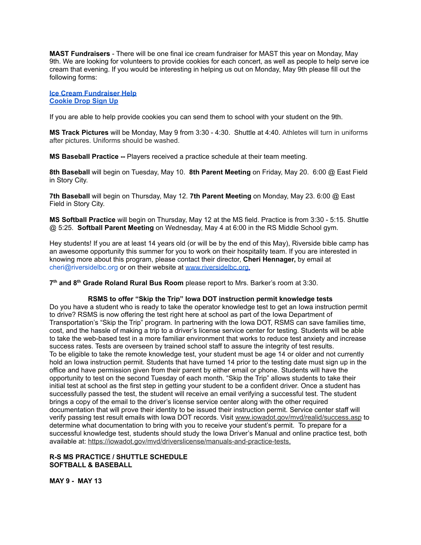**MAST Fundraisers** - There will be one final ice cream fundraiser for MAST this year on Monday, May 9th. We are looking for volunteers to provide cookies for each concert, as well as people to help serve ice cream that evening. If you would be interesting in helping us out on Monday, May 9th please fill out the following forms:

**Ice Cream [Fundraiser](https://www.signupgenius.com/go/4090c45acac2ba31-rsmast4) Help [Cookie](https://www.signupgenius.com/go/4090c45acac2ba31-5th6th) Drop Sign Up**

If you are able to help provide cookies you can send them to school with your student on the 9th.

**MS Track Pictures** will be Monday, May 9 from 3:30 - 4:30. Shuttle at 4:40. Athletes will turn in uniforms after pictures. Uniforms should be washed.

**MS Baseball Practice --** Players received a practice schedule at their team meeting.

**8th Baseball** will begin on Tuesday, May 10. **8th Parent Meeting** on Friday, May 20. 6:00 @ East Field in Story City.

**7th Baseball** will begin on Thursday, May 12. **7th Parent Meeting** on Monday, May 23. 6:00 @ East Field in Story City.

**MS Softball Practice** will begin on Thursday, May 12 at the MS field. Practice is from 3:30 - 5:15. Shuttle @ 5:25. **Softball Parent Meeting** on Wednesday, May 4 at 6:00 in the RS Middle School gym.

Hey students! If you are at least 14 years old (or will be by the end of this May), Riverside bible camp has an awesome opportunity this summer for you to work on their hospitality team. If you are interested in knowing more about this program, please contact their director, **Cheri Hennager,** by email at cheri@riversidelbc.org or on their website at [www.riversidelbc.org.](http://www.riversidelbc.org/)

**7 th and 8 th Grade Roland Rural Bus Room** please report to Mrs. Barker's room at 3:30.

### **RSMS to offer "Skip the Trip" Iowa DOT instruction permit knowledge tests**

Do you have a student who is ready to take the operator knowledge test to get an Iowa instruction permit to drive? RSMS is now offering the test right here at school as part of the Iowa Department of Transportation's "Skip the Trip" program. In partnering with the Iowa DOT, RSMS can save families time, cost, and the hassle of making a trip to a driver's license service center for testing. Students will be able to take the web-based test in a more familiar environment that works to reduce test anxiety and increase success rates. Tests are overseen by trained school staff to assure the integrity of test results. To be eligible to take the remote knowledge test, your student must be age 14 or older and not currently hold an Iowa instruction permit. Students that have turned 14 prior to the testing date must sign up in the office and have permission given from their parent by either email or phone. Students will have the opportunity to test on the second Tuesday of each month. "Skip the Trip" allows students to take their initial test at school as the first step in getting your student to be a confident driver. Once a student has successfully passed the test, the student will receive an email verifying a successful test. The student brings a copy of the email to the driver's license service center along with the other required documentation that will prove their identity to be issued their instruction permit. Service center staff will verify passing test result emails with Iowa DOT records. Visit [www.iowadot.gov/mvd/realid/success.asp](http://www.iowadot.gov/mvd/realid/success.asp) to determine what documentation to bring with you to receive your student's permit. To prepare for a successful knowledge test, students should study the Iowa Driver's Manual and online practice test, both available at: <https://iowadot.gov/mvd/driverslicense/manuals-and-practice-tests>.

## **R-S MS PRACTICE / SHUTTLE SCHEDULE SOFTBALL & BASEBALL**

**MAY 9 - MAY 13**